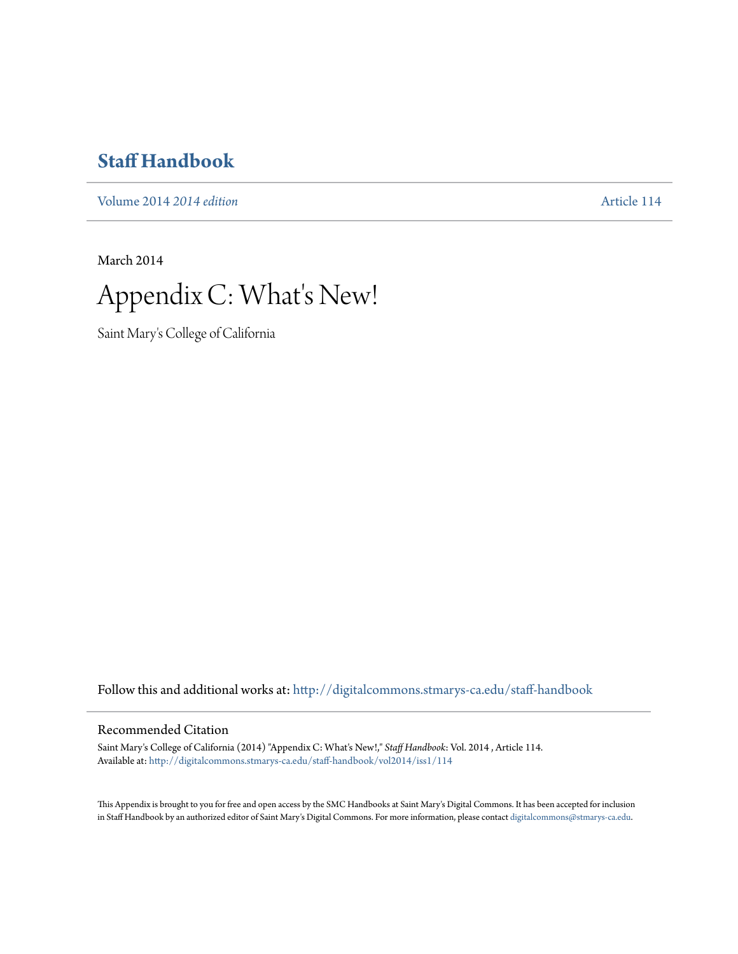# **[Staff Handbook](http://digitalcommons.stmarys-ca.edu/staff-handbook?utm_source=digitalcommons.stmarys-ca.edu%2Fstaff-handbook%2Fvol2014%2Fiss1%2F114&utm_medium=PDF&utm_campaign=PDFCoverPages)**

[Volume 2014](http://digitalcommons.stmarys-ca.edu/staff-handbook/vol2014?utm_source=digitalcommons.stmarys-ca.edu%2Fstaff-handbook%2Fvol2014%2Fiss1%2F114&utm_medium=PDF&utm_campaign=PDFCoverPages) *2014 edition* [Article 114](http://digitalcommons.stmarys-ca.edu/staff-handbook/vol2014/iss1/114?utm_source=digitalcommons.stmarys-ca.edu%2Fstaff-handbook%2Fvol2014%2Fiss1%2F114&utm_medium=PDF&utm_campaign=PDFCoverPages)

March 2014



Saint Mary's College of California

Follow this and additional works at: [http://digitalcommons.stmarys-ca.edu/staff-handbook](http://digitalcommons.stmarys-ca.edu/staff-handbook?utm_source=digitalcommons.stmarys-ca.edu%2Fstaff-handbook%2Fvol2014%2Fiss1%2F114&utm_medium=PDF&utm_campaign=PDFCoverPages)

#### Recommended Citation

Saint Mary's College of California (2014) "Appendix C: What's New!," *Staff Handbook*: Vol. 2014 , Article 114. Available at: [http://digitalcommons.stmarys-ca.edu/staff-handbook/vol2014/iss1/114](http://digitalcommons.stmarys-ca.edu/staff-handbook/vol2014/iss1/114?utm_source=digitalcommons.stmarys-ca.edu%2Fstaff-handbook%2Fvol2014%2Fiss1%2F114&utm_medium=PDF&utm_campaign=PDFCoverPages)

This Appendix is brought to you for free and open access by the SMC Handbooks at Saint Mary's Digital Commons. It has been accepted for inclusion in Staff Handbook by an authorized editor of Saint Mary's Digital Commons. For more information, please contact [digitalcommons@stmarys-ca.edu.](mailto:digitalcommons@stmarys-ca.edu)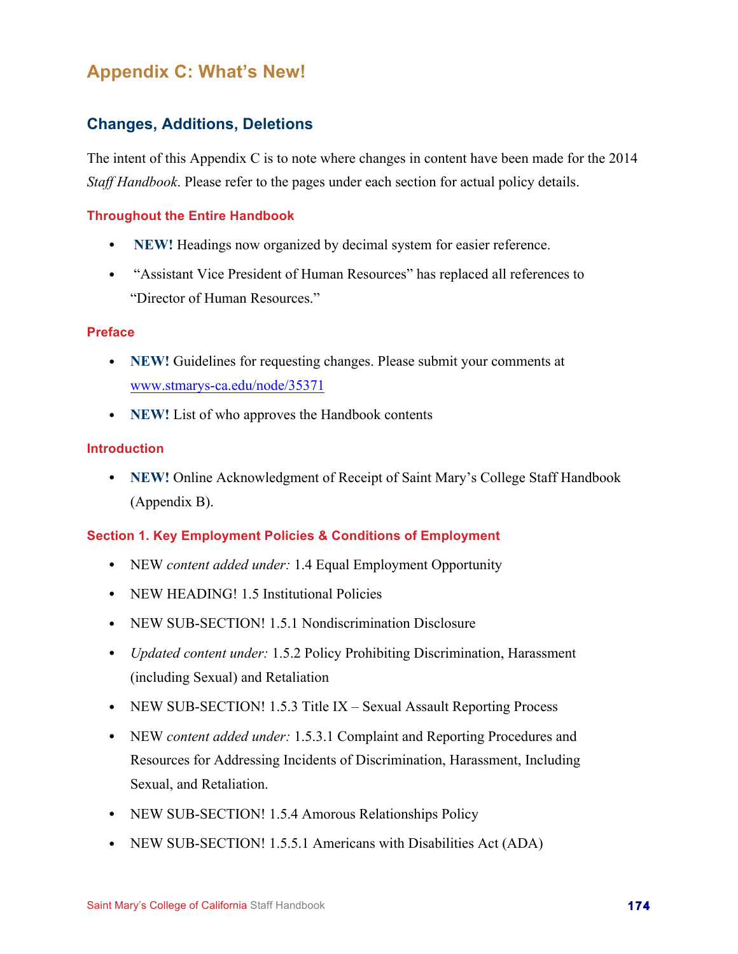# **Appendix C: What's New!**

# **Changes, Additions, Deletions**

The intent of this Appendix C is to note where changes in content have been made for the 2014 *Staff Handbook*. Please refer to the pages under each section for actual policy details.

## **Throughout the Entire Handbook**

- **NEW!** Headings now organized by decimal system for easier reference.
- "Assistant Vice President of Human Resources" has replaced all references to "Director of Human Resources."

#### **Preface**

- **NEW!** Guidelines for requesting changes. Please submit your comments at www.stmarys-ca.edu/node/35371
- **NEW!** List of who approves the Handbook contents

## **Introduction**

• **NEW!** Online Acknowledgment of Receipt of Saint Mary's College Staff Handbook (Appendix B).

## **Section 1. Key Employment Policies & Conditions of Employment**

- NEW *content added under:* 1.4 Equal Employment Opportunity
- NEW HEADING! 1.5 Institutional Policies
- NEW SUB-SECTION! 1.5.1 Nondiscrimination Disclosure
- *Updated content under:* 1.5.2 Policy Prohibiting Discrimination, Harassment (including Sexual) and Retaliation
- NEW SUB-SECTION! 1.5.3 Title IX Sexual Assault Reporting Process
- NEW *content added under:* 1.5.3.1 Complaint and Reporting Procedures and Resources for Addressing Incidents of Discrimination, Harassment, Including Sexual, and Retaliation.
- NEW SUB-SECTION! 1.5.4 Amorous Relationships Policy
- NEW SUB-SECTION! 1.5.5.1 Americans with Disabilities Act (ADA)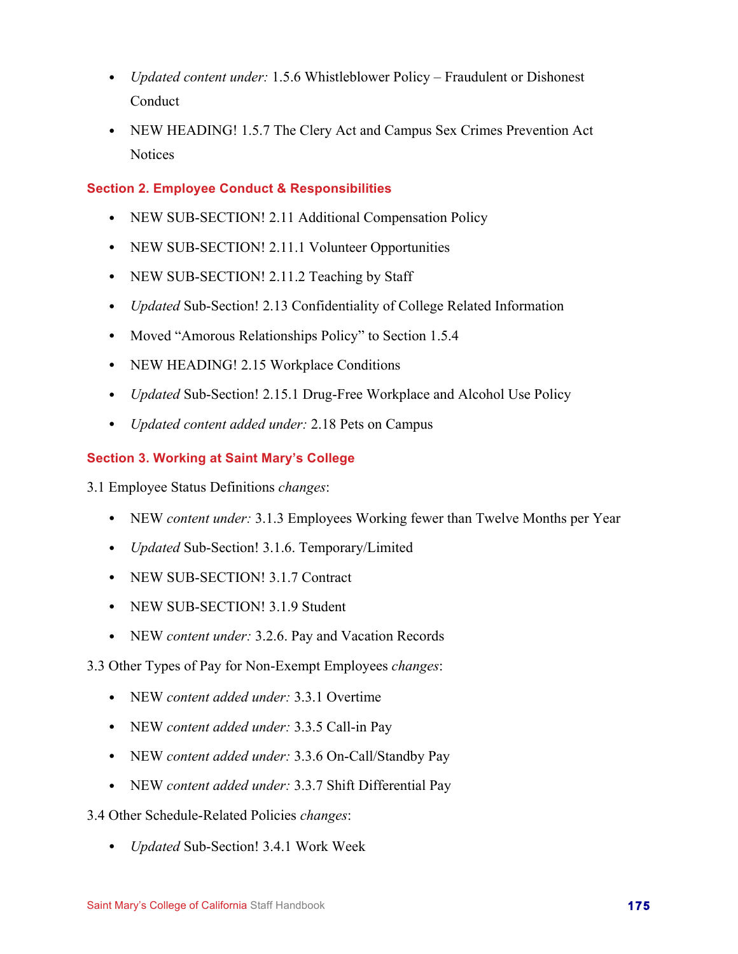- *Updated content under:* 1.5.6 Whistleblower Policy Fraudulent or Dishonest Conduct
- NEW HEADING! 1.5.7 The Clery Act and Campus Sex Crimes Prevention Act **Notices**

## **Section 2. Employee Conduct & Responsibilities**

- NEW SUB-SECTION! 2.11 Additional Compensation Policy
- NEW SUB-SECTION! 2.11.1 Volunteer Opportunities
- NEW SUB-SECTION! 2.11.2 Teaching by Staff
- *Updated* Sub-Section! 2.13 Confidentiality of College Related Information
- Moved "Amorous Relationships Policy" to Section 1.5.4
- NEW HEADING! 2.15 Workplace Conditions
- *Updated* Sub-Section! 2.15.1 Drug-Free Workplace and Alcohol Use Policy
- *Updated content added under:* 2.18 Pets on Campus

## **Section 3. Working at Saint Mary's College**

3.1 Employee Status Definitions *changes*:

- NEW *content under:* 3.1.3 Employees Working fewer than Twelve Months per Year
- *Updated* Sub-Section! 3.1.6. Temporary/Limited
- NEW SUB-SECTION! 3.1.7 Contract
- NEW SUB-SECTION! 3.1.9 Student
- NEW *content under:* 3.2.6. Pay and Vacation Records
- 3.3 Other Types of Pay for Non-Exempt Employees *changes*:
	- NEW *content added under:* 3.3.1 Overtime
	- NEW *content added under:* 3.3.5 Call-in Pay
	- NEW *content added under:* 3.3.6 On-Call/Standby Pay
	- NEW *content added under:* 3.3.7 Shift Differential Pay

3.4 Other Schedule-Related Policies *changes*:

• *Updated* Sub-Section! 3.4.1 Work Week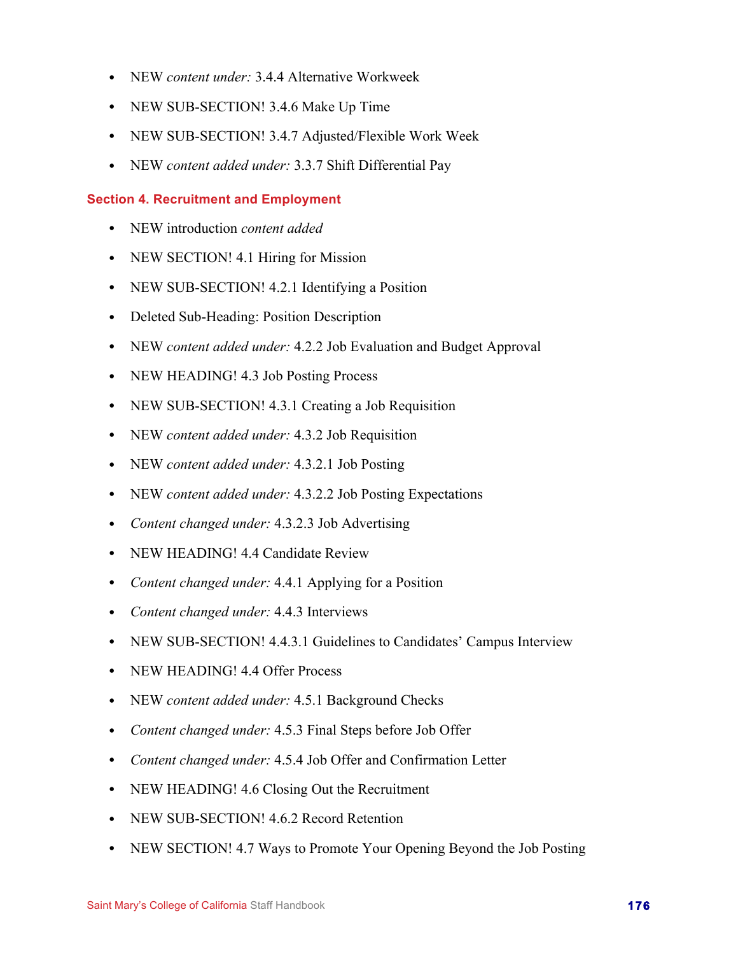- NEW *content under:* 3.4.4 Alternative Workweek
- NEW SUB-SECTION! 3.4.6 Make Up Time
- NEW SUB-SECTION! 3.4.7 Adjusted/Flexible Work Week
- NEW *content added under:* 3.3.7 Shift Differential Pay

#### **Section 4. Recruitment and Employment**

- NEW introduction *content added*
- NEW SECTION! 4.1 Hiring for Mission
- NEW SUB-SECTION! 4.2.1 Identifying a Position
- Deleted Sub-Heading: Position Description
- NEW *content added under:* 4.2.2 Job Evaluation and Budget Approval
- NEW HEADING! 4.3 Job Posting Process
- NEW SUB-SECTION! 4.3.1 Creating a Job Requisition
- NEW *content added under:* 4.3.2 Job Requisition
- NEW *content added under:* 4.3.2.1 Job Posting
- NEW *content added under:* 4.3.2.2 Job Posting Expectations
- *Content changed under:* 4.3.2.3 Job Advertising
- NEW HEADING! 4.4 Candidate Review
- *Content changed under:* 4.4.1 Applying for a Position
- *Content changed under:* 4.4.3 Interviews
- NEW SUB-SECTION! 4.4.3.1 Guidelines to Candidates' Campus Interview
- NEW HEADING! 4.4 Offer Process
- NEW *content added under:* 4.5.1 Background Checks
- *Content changed under:* 4.5.3 Final Steps before Job Offer
- *Content changed under:* 4.5.4 Job Offer and Confirmation Letter
- NEW HEADING! 4.6 Closing Out the Recruitment
- NEW SUB-SECTION! 4.6.2 Record Retention
- NEW SECTION! 4.7 Ways to Promote Your Opening Beyond the Job Posting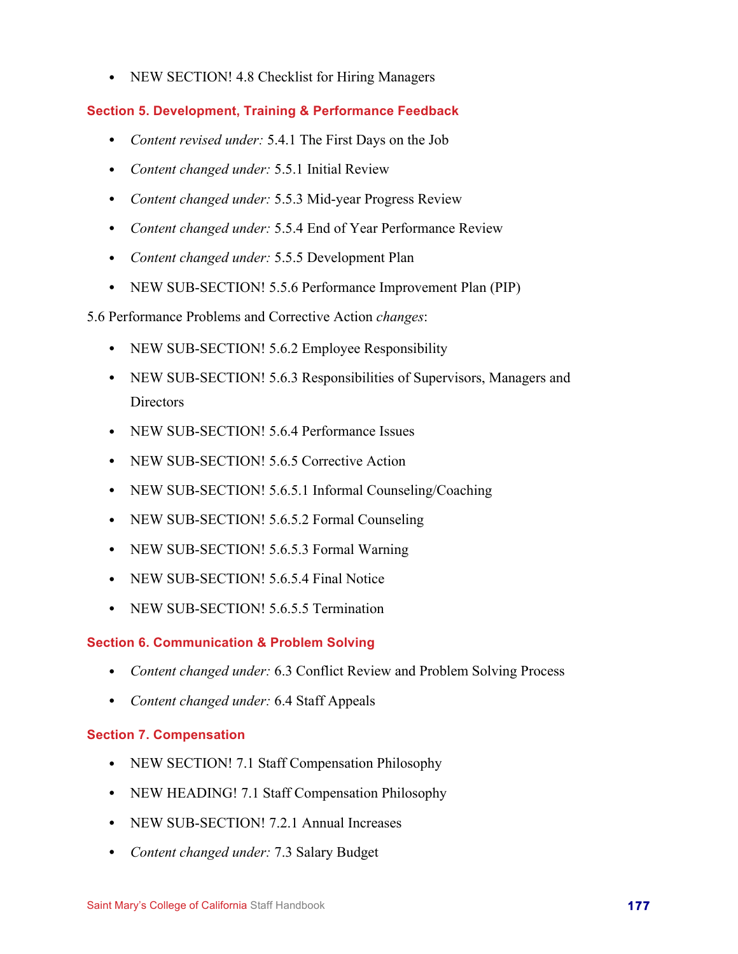• NEW SECTION! 4.8 Checklist for Hiring Managers

## **Section 5. Development, Training & Performance Feedback**

- *Content revised under:* 5.4.1 The First Days on the Job
- *Content changed under:* 5.5.1 Initial Review
- *Content changed under:* 5.5.3 Mid-year Progress Review
- *Content changed under:* 5.5.4 End of Year Performance Review
- *Content changed under:* 5.5.5 Development Plan
- NEW SUB-SECTION! 5.5.6 Performance Improvement Plan (PIP)

5.6 Performance Problems and Corrective Action *changes*:

- NEW SUB-SECTION! 5.6.2 Employee Responsibility
- NEW SUB-SECTION! 5.6.3 Responsibilities of Supervisors, Managers and Directors
- NEW SUB-SECTION! 5.6.4 Performance Issues
- NEW SUB-SECTION! 5.6.5 Corrective Action
- NEW SUB-SECTION! 5.6.5.1 Informal Counseling/Coaching
- NEW SUB-SECTION! 5.6.5.2 Formal Counseling
- NEW SUB-SECTION! 5.6.5.3 Formal Warning
- NEW SUB-SECTION! 5.6.5.4 Final Notice
- NEW SUB-SECTION! 5.6.5.5 Termination

## **Section 6. Communication & Problem Solving**

- *Content changed under:* 6.3 Conflict Review and Problem Solving Process
- *Content changed under:* 6.4 Staff Appeals

## **Section 7. Compensation**

- NEW SECTION! 7.1 Staff Compensation Philosophy
- NEW HEADING! 7.1 Staff Compensation Philosophy
- NEW SUB-SECTION! 7.2.1 Annual Increases
- *Content changed under:* 7.3 Salary Budget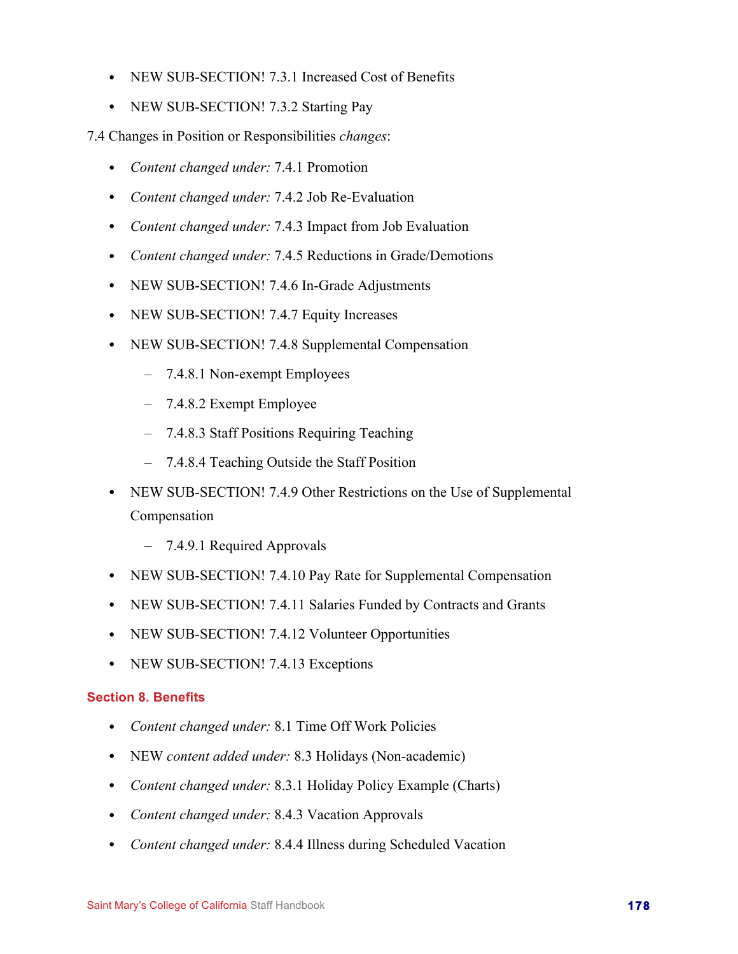- NEW SUB-SECTION! 7.3.1 Increased Cost of Benefits
- NEW SUB-SECTION! 7.3.2 Starting Pay

7.4 Changes in Position or Responsibilities *changes*:

- *Content changed under:* 7.4.1 Promotion
- *Content changed under:* 7.4.2 Job Re-Evaluation
- *Content changed under:* 7.4.3 Impact from Job Evaluation
- *Content changed under:* 7.4.5 Reductions in Grade/Demotions
- NEW SUB-SECTION! 7.4.6 In-Grade Adjustments
- NEW SUB-SECTION! 7.4.7 Equity Increases
- NEW SUB-SECTION! 7.4.8 Supplemental Compensation
	- 7.4.8.1 Non-exempt Employees
	- 7.4.8.2 Exempt Employee
	- 7.4.8.3 Staff Positions Requiring Teaching
	- 7.4.8.4 Teaching Outside the Staff Position
- NEW SUB-SECTION! 7.4.9 Other Restrictions on the Use of Supplemental Compensation
	- 7.4.9.1 Required Approvals
- NEW SUB-SECTION! 7.4.10 Pay Rate for Supplemental Compensation
- NEW SUB-SECTION! 7.4.11 Salaries Funded by Contracts and Grants
- NEW SUB-SECTION! 7.4.12 Volunteer Opportunities
- NEW SUB-SECTION! 7.4.13 Exceptions

#### **Section 8. Benefits**

- *Content changed under:* 8.1 Time Off Work Policies
- NEW *content added under:* 8.3 Holidays (Non-academic)
- *Content changed under:* 8.3.1 Holiday Policy Example (Charts)
- *Content changed under:* 8.4.3 Vacation Approvals
- *Content changed under:* 8.4.4 Illness during Scheduled Vacation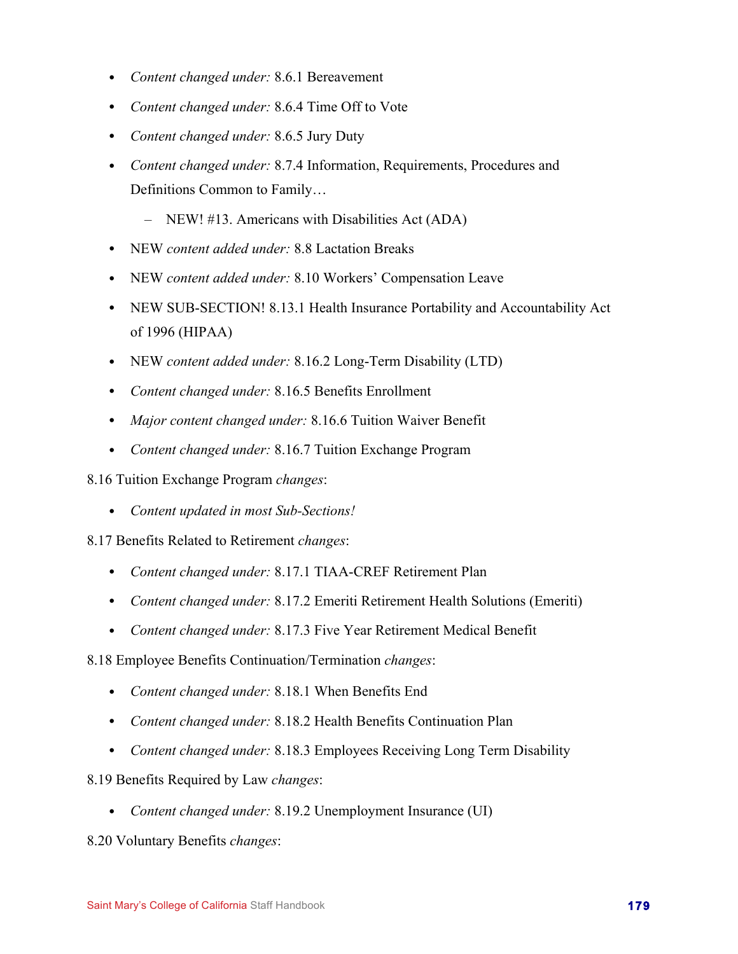- *Content changed under:* 8.6.1 Bereavement
- *Content changed under:* 8.6.4 Time Off to Vote
- *Content changed under:* 8.6.5 Jury Duty
- *Content changed under:* 8.7.4 Information, Requirements, Procedures and Definitions Common to Family…
	- NEW! #13. Americans with Disabilities Act (ADA)
- NEW *content added under:* 8.8 Lactation Breaks
- NEW *content added under:* 8.10 Workers' Compensation Leave
- NEW SUB-SECTION! 8.13.1 Health Insurance Portability and Accountability Act of 1996 (HIPAA)
- NEW *content added under:* 8.16.2 Long-Term Disability (LTD)
- *Content changed under:* 8.16.5 Benefits Enrollment
- *Major content changed under:* 8.16.6 Tuition Waiver Benefit
- *Content changed under:* 8.16.7 Tuition Exchange Program

8.16 Tuition Exchange Program *changes*:

• *Content updated in most Sub-Sections!*

8.17 Benefits Related to Retirement *changes*:

- *Content changed under:* 8.17.1 TIAA-CREF Retirement Plan
- *Content changed under:* 8.17.2 Emeriti Retirement Health Solutions (Emeriti)
- *Content changed under:* 8.17.3 Five Year Retirement Medical Benefit
- 8.18 Employee Benefits Continuation/Termination *changes*:
	- *Content changed under:* 8.18.1 When Benefits End
	- *Content changed under:* 8.18.2 Health Benefits Continuation Plan
	- *Content changed under:* 8.18.3 Employees Receiving Long Term Disability
- 8.19 Benefits Required by Law *changes*:
	- *Content changed under:* 8.19.2 Unemployment Insurance (UI)

8.20 Voluntary Benefits *changes*: